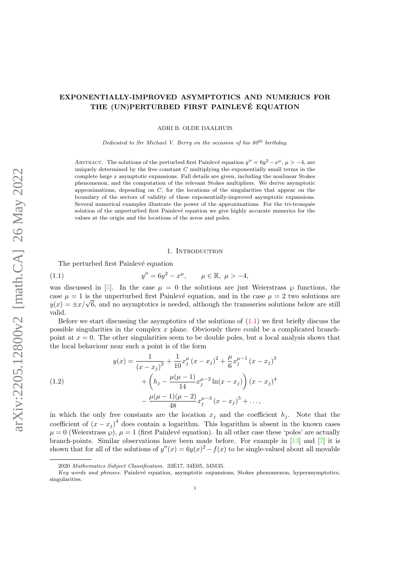# <span id="page-0-0"></span>EXPONENTIALLY-IMPROVED ASYMPTOTICS AND NUMERICS FOR THE (UN)PERTURBED FIRST PAINLEVÉ EQUATION

ADRI B. OLDE DAALHUIS

Dedicated to Sir Michael V. Berry on the occasion of his  $80^{th}$  birthday.

ABSTRACT. The solutions of the perturbed first Painlevé equation  $y'' = 6y^2 - x^\mu$ ,  $\mu > -4$ , are uniquely determined by the free constant  $C$  multiplying the exponentially small terms in the complete large  $x$  asymptotic expansions. Full details are given, including the nonlinear Stokes phenomenon, and the computation of the relevant Stokes multipliers. We derive asymptotic approximations, depending on  $C$ , for the locations of the singularities that appear on the boundary of the sectors of validity of these exponentially-improved asymptotic expansions. Several numerical examples illustrate the power of the approximations. For the tri-tronquée solution of the unperturbed first Painlevé equation we give highly accurate numerics for the values at the origin and the locations of the zeros and poles.

#### 1. INTRODUCTION

The perturbed first Painlevé equation

(1.1) 
$$
y'' = 6y^2 - x^{\mu}, \qquad \mu \in \mathbb{R}, \ \mu > -4,
$$

was discussed in [\[5\]](#page-12-0). In the case  $\mu = 0$  the solutions are just Weierstrass  $\wp$  functions, the case  $\mu = 1$  is the unperturbed first Painlevé equation, and in the case  $\mu = 2$  two solutions are case  $\mu = 1$  is the unperturbed first Painleve equation, and in the case  $\mu = 2$  two solutions are  $y(x) = \pm x/\sqrt{6}$ , and no asymptotics is needed, although the transseries solutions below are still valid.

Before we start discussing the asymptotics of the solutions of  $(1.1)$  we first briefly discuss the possible singularities in the complex x plane. Obviously there could be a complicated branchpoint at  $x = 0$ . The other singularities seem to be double poles, but a local analysis shows that the local behaviour near such a point is of the form

(1.2)  

$$
y(x) = \frac{1}{(x - x_j)^2} + \frac{1}{10}x_j^{\mu}(x - x_j)^2 + \frac{\mu}{6}x_j^{\mu - 1}(x - x_j)^3 + \left(h_j - \frac{\mu(\mu - 1)}{14}x_j^{\mu - 2}\ln(x - x_j)\right)(x - x_j)^4 - \frac{\mu(\mu - 1)(\mu - 2)}{48}x_j^{\mu - 3}(x - x_j)^5 + \dots,
$$

in which the only free constants are the location  $x_j$  and the coefficient  $h_j$ . Note that the coefficient of  $(x - x_j)^4$  does contain a logarithm. This logarithm is absent in the known cases  $\mu = 0$  (Weierstrass  $\wp$ ),  $\mu = 1$  (first Painlevé equation). In all other case these 'poles' are actually branch-points. Similar observations have been made before. For example in [\[13\]](#page-12-0) and [\[7\]](#page-12-0) it is shown that for all of the solutions of  $y''(x) = 6y(x)^2 - f(x)$  to be single-valued about all movable

<sup>2020</sup> Mathematics Subject Classification. 33E17, 34E05, 34M35.

Key words and phrases. Painlevé equation, asymptotic expansions, Stokes phenomenon, hyperasymptotics, singularities.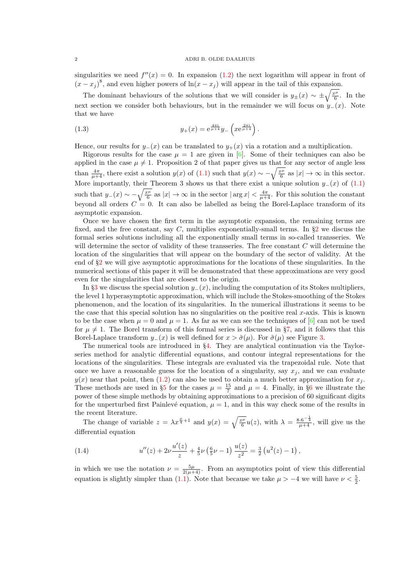#### <span id="page-1-0"></span>2 ADRI B. OLDE DAALHUIS

singularities we need  $f''(x) = 0$ . In expansion [\(1.2\)](#page-0-0) the next logarithm will appear in front of  $(x - x_j)^8$ , and even higher powers of  $\ln(x - x_j)$  will appear in the tail of this expansion.

The dominant behaviours of the solutions that we will consider is  $y_{\pm}(x) \sim \pm \sqrt{\frac{x^{\mu}}{6}}$ . In the next section we consider both behaviours, but in the remainder we will focus on  $y_-(x)$ . Note that we have

(1.3) 
$$
y_{+}(x) = e^{\frac{4\pi i}{\mu+4}} y_{-} \left( x e^{\frac{2\pi i}{\mu+4}} \right).
$$

Hence, our results for  $y_-(x)$  can be translated to  $y_+(x)$  via a rotation and a multiplication.

Rigorous results for the case  $\mu = 1$  are given in [\[6\]](#page-12-0). Some of their techniques can also be applied in the case  $\mu \neq 1$ . Proposition 2 of that paper gives us that for any sector of angle less than  $\frac{4\pi}{\mu+4}$ , there exist a solution  $y(x)$  of [\(1.1\)](#page-0-0) such that  $y(x) \sim -\sqrt{\frac{x^{\mu}}{6}}$  as  $|x| \to \infty$  in this sector. More importantly, their Theorem 3 shows us that there exist a unique solution  $y=(x)$  of  $(1.1)$ such that  $y_{-}(x) \sim -\sqrt{\frac{x^{\mu}}{6}}$  as  $|x| \to \infty$  in the sector  $|\arg x| < \frac{4\pi}{\mu+4}$ . For this solution the constant beyond all orders  $C = 0$ . It can also be labelled as being the Borel-Laplace transform of its asymptotic expansion.

Once we have chosen the first term in the asymptotic expansion, the remaining terms are fixed, and the free constant, say  $C$ , multiplies exponentially-small terms. In  $\S2$  $\S2$  we discuss the formal series solutions including all the exponentially small terms in so-called transseries. We will determine the sector of validity of these transseries. The free constant C will determine the location of the singularities that will appear on the boundary of the sector of validity. At the end of  $\S2$  $\S2$  we will give asymptotic approximations for the locations of these singularities. In the numerical sections of this paper it will be demonstrated that these approximations are very good even for the singularities that are closest to the origin.

In §[3](#page-4-0) we discuss the special solution  $y_-(x)$ , including the computation of its Stokes multipliers, the level 1 hyperasymptotic approximation, which will include the Stokes-smoothing of the Stokes phenomenon, and the location of its singularities. In the numerical illustrations it seems to be the case that this special solution has no singularities on the positive real  $x$ -axis. This is known to be the case when  $\mu = 0$  and  $\mu = 1$ . As far as we can see the techniques of [\[6\]](#page-12-0) can not be used for  $\mu \neq 1$ . The Borel transform of this formal series is discussed in §[7,](#page-10-0) and it follows that this Borel-Laplace transform  $y_-(x)$  is well defined for  $x > \tilde{\sigma}(\mu)$ . For  $\tilde{\sigma}(\mu)$  see Figure [3.](#page-11-0)

The numerical tools are introduced in §[4.](#page-6-0) They are analytical continuation via the Taylorseries method for analytic differential equations, and contour integral representations for the locations of the singularities. These integrals are evaluated via the trapezoidal rule. Note that once we have a reasonable guess for the location of a singularity, say  $x_i$ , and we can evaluate  $y(x)$  near that point, then [\(1.2\)](#page-0-0) can also be used to obtain a much better approximation for  $x_j$ . These methods are used in §[5](#page-7-0) for the cases  $\mu = \frac{15}{7}$  and  $\mu = 4$ . Finally, in §[6](#page-9-0) we illustrate the power of these simple methods by obtaining approximations to a precision of 60 significant digits for the unperturbed first Painlevé equation,  $\mu = 1$ , and in this way check some of the results in the recent literature.

The change of variable  $z = \lambda x^{\frac{\mu}{4}+1}$  and  $y(x) = \sqrt{\frac{x^{\mu}}{6}}u(z)$ , with  $\lambda = \frac{8 \cdot 6^{-\frac{1}{4}}}{\mu+4}$ , will give us the differential equation

(1.4) 
$$
u''(z) + 2\nu \frac{u'(z)}{z} + \frac{4}{5}\nu \left(\frac{6}{5}\nu - 1\right) \frac{u(z)}{z^2} = \frac{3}{2} \left(u^2(z) - 1\right),
$$

in which we use the notation  $\nu = \frac{5\mu}{2(\mu+4)}$ . From an asymptotics point of view this differential equation is slightly simpler than [\(1.1\)](#page-0-0). Note that because we take  $\mu > -4$  we will have  $\nu < \frac{5}{2}$ .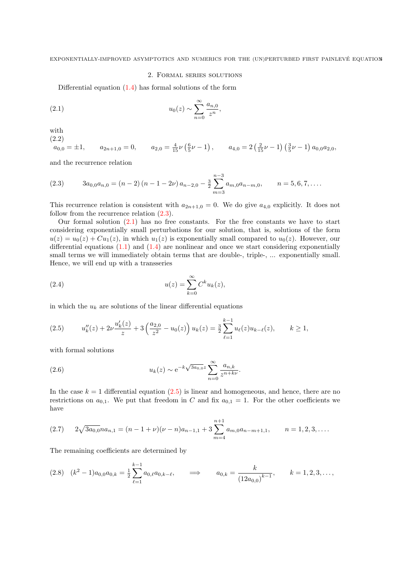## 2. Formal series solutions

<span id="page-2-0"></span>Differential equation [\(1.4\)](#page-1-0) has formal solutions of the form

(2.1) 
$$
u_0(z) \sim \sum_{n=0}^{\infty} \frac{a_{n,0}}{z^n},
$$

with

(2.2)

$$
a_{0,0} = \pm 1, \qquad a_{2n+1,0} = 0, \qquad a_{2,0} = \frac{4}{15} \nu \left( \frac{6}{5} \nu - 1 \right), \qquad a_{4,0} = 2 \left( \frac{2}{15} \nu - 1 \right) \left( \frac{3}{5} \nu - 1 \right) a_{0,0} a_{2,0},
$$

and the recurrence relation

(2.3) 
$$
3a_{0,0}a_{n,0} = (n-2)(n-1-2\nu)a_{n-2,0} - \frac{3}{2}\sum_{m=3}^{n-3}a_{m,0}a_{n-m,0}, \qquad n = 5,6,7,\ldots.
$$

This recurrence relation is consistent with  $a_{2n+1,0} = 0$ . We do give  $a_{4,0}$  explicitly. It does not follow from the recurrence relation  $(2.3)$ .

Our formal solution (2.1) has no free constants. For the free constants we have to start considering exponentially small perturbations for our solution, that is, solutions of the form  $u(z) = u_0(z) + Cu_1(z)$ , in which  $u_1(z)$  is exponentially small compared to  $u_0(z)$ . However, our differential equations  $(1.1)$  and  $(1.4)$  are nonlinear and once we start considering exponentially small terms we will immediately obtain terms that are double-, triple-, ... exponentially small. Hence, we will end up with a transseries

(2.4) 
$$
u(z) = \sum_{k=0}^{\infty} C^k u_k(z),
$$

in which the  $u_k$  are solutions of the linear differential equations

$$
(2.5) \t u_k''(z) + 2\nu \frac{u_k'(z)}{z} + 3\left(\frac{a_{2,0}}{z^2} - u_0(z)\right)u_k(z) = \frac{3}{2}\sum_{\ell=1}^{k-1} u_\ell(z)u_{k-\ell}(z), \t k \ge 1,
$$

with formal solutions

(2.6) 
$$
u_k(z) \sim e^{-k\sqrt{3a_{0,0}}z} \sum_{n=0}^{\infty} \frac{a_{n,k}}{z^{n+k\nu}}.
$$

In the case  $k = 1$  differential equation  $(2.5)$  is linear and homogeneous, and hence, there are no restrictions on  $a_{0,1}$ . We put that freedom in C and fix  $a_{0,1} = 1$ . For the other coefficients we have

$$
(2.7) \t 2\sqrt{3a_{0,0}}na_{n,1} = (n-1+\nu)(\nu-n)a_{n-1,1} + 3\sum_{m=4}^{n+1} a_{m,0}a_{n-m+1,1}, \t n = 1,2,3,\ldots.
$$

The remaining coefficients are determined by

$$
(2.8) \quad (k^2 - 1)a_{0,0}a_{0,k} = \frac{1}{2}\sum_{\ell=1}^{k-1}a_{0,\ell}a_{0,k-\ell}, \qquad \Longrightarrow \qquad a_{0,k} = \frac{k}{(12a_{0,0})^{k-1}}, \qquad k = 1,2,3,\ldots,
$$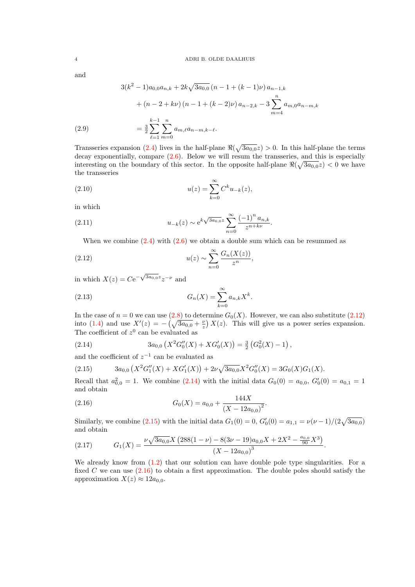<span id="page-3-0"></span>and

(2.9)  
\n
$$
3(k^{2} - 1)a_{0,0}a_{n,k} + 2k\sqrt{3a_{0,0}}(n - 1 + (k - 1)\nu)a_{n-1,k}
$$
\n
$$
+ (n - 2 + k\nu)(n - 1 + (k - 2)\nu)a_{n-2,k} - 3\sum_{m=4}^{n} a_{m,0}a_{n-m,k}
$$
\n
$$
= \frac{3}{2}\sum_{\ell=1}^{k-1}\sum_{m=0}^{n} a_{m,\ell}a_{n-m,k-\ell}.
$$

Transseries expansion [\(2.4\)](#page-2-0) lives in the half-plane  $\Re(\sqrt{3a_{0,0}}z) > 0$ . In this half-plane the terms decay exponentially, compare [\(2.6\)](#page-2-0). Below we will resum the transseries, and this is especially interesting on the boundary of this sector. In the opposite half-plane  $\Re(\sqrt{3a_{0,0}}z) < 0$  we have the transseries

(2.10) 
$$
u(z) = \sum_{k=0}^{\infty} C^k u_{-k}(z),
$$

in which

(2.11) 
$$
u_{-k}(z) \sim e^{k\sqrt{3a_{0,0}}z} \sum_{n=0}^{\infty} \frac{(-1)^n a_{n,k}}{z^{n+k\nu}}.
$$

When we combine  $(2.4)$  with  $(2.6)$  we obtain a double sum which can be resummed as

(2.12) 
$$
u(z) \sim \sum_{n=0}^{\infty} \frac{G_n(X(z))}{z^n},
$$

in which  $X(z) = Ce^{-\sqrt{3a_{0,0}}z}z^{-\nu}$  and

(2.13) 
$$
G_n(X) = \sum_{k=0}^{\infty} a_{n,k} X^k.
$$

In the case of  $n = 0$  we can use  $(2.8)$  to determine  $G_0(X)$ . However, we can also substitute  $(2.12)$ into [\(1.4\)](#page-1-0) and use  $X'(z) = -(\sqrt{3a_{0,0}} + \frac{\nu}{z}) X(z)$ . This will give us a power series expansion. The coefficient of  $z^0$  can be evaluated as

(2.14) 
$$
3a_{0,0}\left(X^2G''_0(X)+XG'_0(X)\right)=\frac{3}{2}\left(G_0^2(X)-1\right),
$$

and the coefficient of  $z^{-1}$  can be evaluated as

(2.15) 
$$
3a_{0,0}(X^2G_1''(X) + XG_1'(X)) + 2\nu\sqrt{3a_{0,0}}X^2G_0''(X) = 3G_0(X)G_1(X).
$$

Recall that  $a_{0,0}^2 = 1$ . We combine (2.14) with the initial data  $G_0(0) = a_{0,0}$ ,  $G'_0(0) = a_{0,1} = 1$ and obtain

.

(2.16) 
$$
G_0(X) = a_{0,0} + \frac{144X}{(X - 12a_{0,0})^2}
$$

Similarly, we combine (2.15) with the initial data  $G_1(0) = 0$ ,  $G'_0(0) = a_{1,1} = \nu(\nu - 1)/(2\sqrt{3a_{0,0}})$ and obtain

(2.17) 
$$
G_1(X) = \frac{\nu \sqrt{3a_{0,0}} X (288(1-\nu) - 8(3\nu - 19)a_{0,0}X + 2X^2 - \frac{a_{0,0}}{90}X^3)}{(X - 12a_{0,0})^3}.
$$

We already know from  $(1.2)$  that our solution can have double pole type singularities. For a fixed C we can use  $(2.16)$  to obtain a first approximation. The double poles should satisfy the approximation  $X(z) \approx 12a_{0,0}$ .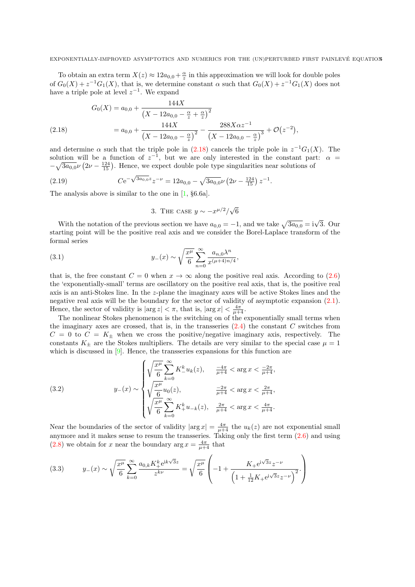.

<span id="page-4-0"></span>To obtain an extra term  $X(z) \approx 12a_{0,0} + \frac{\alpha}{z}$  in this approximation we will look for double poles of  $G_0(X) + z^{-1}G_1(X)$ , that is, we determine constant  $\alpha$  such that  $G_0(X) + z^{-1}G_1(X)$  does not have a triple pole at level  $z^{-1}$ . We expand

$$
G_0(X) = a_{0,0} + \frac{144X}{\left(X - 12a_{0,0} - \frac{\alpha}{z} + \frac{\alpha}{z}\right)^2}
$$
  
(2.18)  

$$
= a_{0,0} + \frac{144X}{\left(X - 12a_{0,0} - \frac{\alpha}{z}\right)^2} - \frac{288X\alpha z^{-1}}{\left(X - 12a_{0,0} - \frac{\alpha}{z}\right)^3} + \mathcal{O}(z^{-2}),
$$

and determine  $\alpha$  such that the triple pole in (2.18) cancels the triple pole in  $z^{-1}G_1(X)$ . The solution will be a function of  $z^{-1}$ , but we are only interested in the constant part:  $\alpha =$  $-\sqrt{3a_{0,0}}\nu\left(2\nu-\frac{124}{15}\right)$ . Hence, we expect double pole type singularities near solutions of

(2.19) 
$$
Ce^{-\sqrt{3a_{0,0}}z}z^{-\nu} = 12a_{0,0} - \sqrt{3a_{0,0}\nu} \left(2\nu - \frac{124}{15}\right)z^{-1}
$$

The analysis above is similar to the one in [\[1,](#page-12-0) §6.6a].

3. THE CASE 
$$
y \sim -x^{\mu/2}/\sqrt{6}
$$

With the notation of the previous section we have  $a_{0,0} = -1$ , and we take  $\sqrt{3a_{0,0}} = i\sqrt{3}$ . Our starting point will be the positive real axis and we consider the Borel-Laplace transform of the formal series

(3.1) 
$$
y_{-}(x) \sim \sqrt{\frac{x^{\mu}}{6}} \sum_{n=0}^{\infty} \frac{a_{n,0} \lambda^{n}}{x^{(\mu+4)n/4}},
$$

that is, the free constant  $C = 0$  when  $x \to \infty$  along the positive real axis. According to [\(2.6\)](#page-2-0) the 'exponentially-small' terms are oscillatory on the positive real axis, that is, the positive real axis is an anti-Stokes line. In the z-plane the imaginary axes will be active Stokes lines and the negative real axis will be the boundary for the sector of validity of asymptotic expansion [\(2.1\)](#page-2-0). Hence, the sector of validity is  $|\arg z| < \pi$ , that is,  $|\arg x| < \frac{4\pi}{\mu+4}$ .

The nonlinear Stokes phenomenon is the switching on of the exponentially small terms when the imaginary axes are crossed, that is, in the transseries  $(2.4)$  the constant C switches from  $C = 0$  to  $C = K_{\pm}$  when we cross the positive/negative imaginary axis, respectively. The constants  $K_{\pm}$  are the Stokes multipliers. The details are very similar to the special case  $\mu = 1$ which is discussed in [\[9\]](#page-12-0). Hence, the transseries expansions for this function are

(3.2) 
$$
y_{-}(x) \sim \begin{cases} \sqrt{\frac{x^{\mu}}{6}} \sum_{k=0}^{\infty} K_{-}^{k} u_{k}(z), & \frac{-4\pi}{\mu+4} < \arg x < \frac{-2\pi}{\mu+4}, \\ \sqrt{\frac{x^{\mu}}{6}} u_{0}(z), & \frac{-2\pi}{\mu+4} < \arg x < \frac{2\pi}{\mu+4}, \\ \sqrt{\frac{x^{\mu}}{6}} \sum_{k=0}^{\infty} K_{+}^{k} u_{-k}(z), & \frac{2\pi}{\mu+4} < \arg x < \frac{4\pi}{\mu+4}. \end{cases}
$$

Near the boundaries of the sector of validity  $|\arg x| = \frac{4\pi}{\mu+4}$  the  $u_k(z)$  are not exponential small anymore and it makes sense to resum the transseries. Taking only the first term [\(2.6\)](#page-2-0) and using [\(2.8\)](#page-2-0) we obtain for x near the boundary  $\arg x = \frac{4\pi}{\mu+4}$  that

(3.3) 
$$
y_{-}(x) \sim \sqrt{\frac{x^{\mu}}{6}} \sum_{k=0}^{\infty} \frac{a_{0,k} K_{+}^{k} e^{ik\sqrt{3}z}}{z^{k\nu}} = \sqrt{\frac{x^{\mu}}{6}} \left( -1 + \frac{K_{+} e^{i\sqrt{3}z} z^{-\nu}}{\left(1 + \frac{1}{12} K_{+} e^{i\sqrt{3}z} z^{-\nu}\right)^{2}} \right)
$$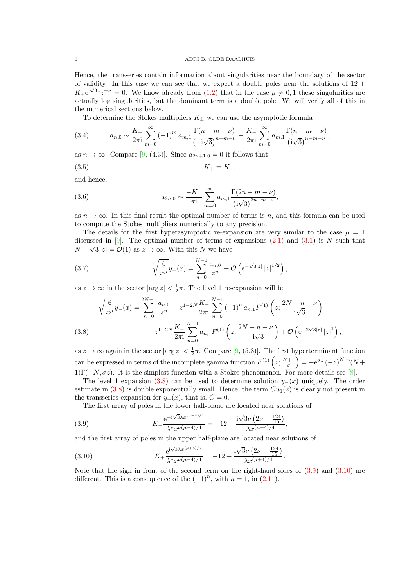<span id="page-5-0"></span>Hence, the transseries contain information about singularities near the boundary of the sector of validity. In this case we can see that we expect a double poles near the solutions of  $12 +$  $K_+e^{i\sqrt{3}z}z^{-\nu} = 0$ . We know already from [\(1.2\)](#page-0-0) that in the case  $\mu \neq 0, 1$  these singularities are actually log singularities, but the dominant term is a double pole. We will verify all of this in the numerical sections below.

To determine the Stokes multipliers  $K_{\pm}$  we can use the asymptotic formula

(3.4) 
$$
a_{n,0} \sim \frac{K_+}{2\pi i} \sum_{m=0}^{\infty} (-1)^m a_{m,1} \frac{\Gamma(n-m-\nu)}{(-i\sqrt{3})^{n-m-\nu}} - \frac{K_-}{2\pi i} \sum_{m=0}^{\infty} a_{m,1} \frac{\Gamma(n-m-\nu)}{(i\sqrt{3})^{n-m-\nu}},
$$

as  $n \to \infty$ . Compare [\[9,](#page-12-0) (4.3)]. Since  $a_{2n+1,0} = 0$  it follows that

$$
K_{+} = \overline{K_{-}},
$$

and hence,

(3.6) 
$$
a_{2n,0} \sim \frac{-K_-}{\pi i} \sum_{m=0}^{\infty} a_{m,1} \frac{\Gamma(2n-m-\nu)}{\left(i\sqrt{3}\right)^{2n-m-\nu}},
$$

as  $n \to \infty$ . In this final result the optimal number of terms is n, and this formula can be used to compute the Stokes multipliers numerically to any precision.

The details for the first hyperasymptotic re-expansion are very similar to the case  $\mu = 1$ discussed in [\[9\]](#page-12-0). The optimal number of terms of expansions  $(2.1)$  and  $(3.1)$  is N such that  $N - \sqrt{3} |z| = \mathcal{O}(1)$  as  $z \to \infty$ . With this N we have

(3.7) 
$$
\sqrt{\frac{6}{x^{\mu}}}y_{-}(x) = \sum_{n=0}^{N-1} \frac{a_{n,0}}{z^{n}} + \mathcal{O}\left(e^{-\sqrt{3}|z|} |z|^{1/2}\right),
$$

as  $z \to \infty$  in the sector  $|\arg z| < \frac{1}{2}\pi$ . The level 1 re-expansion will be

$$
\sqrt{\frac{6}{x^{\mu}}}y_{-}(x) = \sum_{n=0}^{2N-1} \frac{a_{n,0}}{z^{n}} + z^{1-2N} \frac{K_{+}}{2\pi i} \sum_{n=0}^{N-1} (-1)^{n} a_{n,1} F^{(1)}\left(z; \frac{2N-n-\nu}{i\sqrt{3}}\right)
$$
\n
$$
- z^{1-2N} \frac{K_{-}}{2\pi i} \sum_{n=0}^{N-1} a_{n,1} F^{(1)}\left(z; \frac{2N-n-\nu}{-i\sqrt{3}}\right) + \mathcal{O}\left(e^{-2\sqrt{3}|z|} |z|^{1}\right),
$$

as  $z \to \infty$  again in the sector  $|\arg z| < \frac{1}{2}\pi$ . Compare [\[9,](#page-12-0) (5.3)]. The first hyperterminant function can be expressed in terms of the incomplete gamma function  $F^{(1)}(z; \frac{N+1}{\sigma}) = -e^{\sigma z} (-z)^N \Gamma(N + z)$ 1) $\Gamma(-N,\sigma z)$ . It is the simplest function with a Stokes phenomenon. For more details see [\[8\]](#page-12-0).

The level 1 expansion (3.8) can be used to determine solution  $y_-(x)$  uniquely. The order estimate in  $(3.8)$  is double exponentially small. Hence, the term  $Cu<sub>1</sub>(z)$  is clearly not present in the transseries expansion for  $y_-(x)$ , that is,  $C = 0$ .

,

The first array of poles in the lower half-plane are located near solutions of

(3.9) 
$$
K_{-} \frac{e^{-i\sqrt{3}\lambda x^{(\mu+4)/4}}}{\lambda^{\nu} x^{\nu(\mu+4)/4}} = -12 - \frac{i\sqrt{3}\nu (2\nu - \frac{124}{15})}{\lambda x^{(\mu+4)/4}}
$$

and the first array of poles in the upper half-plane are located near solutions of

(3.10) 
$$
K_{+} \frac{e^{i\sqrt{3}\lambda x^{(\mu+4)/4}}}{\lambda^{\nu} x^{\nu(\mu+4)/4}} = -12 + \frac{i\sqrt{3}\nu (2\nu - \frac{124}{15})}{\lambda x^{(\mu+4)/4}}.
$$

Note that the sign in front of the second term on the right-hand sides of  $(3.9)$  and  $(3.10)$  are different. This is a consequence of the  $(-1)^n$ , with  $n = 1$ , in  $(2.11)$ .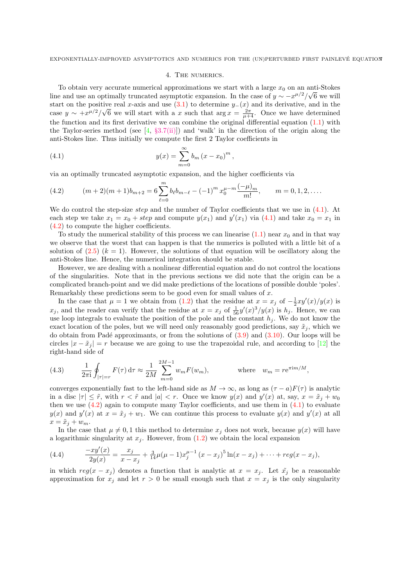### 4. THE NUMERICS.

<span id="page-6-0"></span>To obtain very accurate numerical approximations we start with a large  $x_0$  on an anti-Stokes line and use an optimally truncated asymptotic expansion. In the case of  $y \sim -x^{\mu/2}/\sqrt{6}$  we will start on the positive real x-axis and use  $(3.1)$  to determine  $y_-(x)$  and its derivative, and in the case  $y \sim +x^{\mu/2}/\sqrt{6}$  we will start with a x such that  $\arg x = \frac{2\pi}{\mu+4}$ . Once we have determined the function and its first derivative we can combine the original differential equation [\(1.1\)](#page-0-0) with the Taylor-series method (see  $[4, §3.7(ii)]$  $[4, §3.7(ii)]$ ) and 'walk' in the direction of the origin along the anti-Stokes line. Thus initially we compute the first 2 Taylor coefficients in

(4.1) 
$$
y(x) = \sum_{m=0}^{\infty} b_m (x - x_0)^m,
$$

via an optimally truncated asymptotic expansion, and the higher coefficients via

(4.2) 
$$
(m+2)(m+1)b_{m+2} = 6\sum_{\ell=0}^{m} b_{\ell}b_{m-\ell} - (-1)^m x_0^{\mu-m} \frac{(-\mu)_m}{m!}, \qquad m = 0, 1, 2, ....
$$

We do control the step-size *step* and the number of Taylor coefficients that we use in  $(4.1)$ . At each step we take  $x_1 = x_0 + step$  and compute  $y(x_1)$  and  $y'(x_1)$  via (4.1) and take  $x_0 = x_1$  in (4.2) to compute the higher coefficients.

To study the numerical stability of this process we can linearise  $(1.1)$  near  $x_0$  and in that way we observe that the worst that can happen is that the numerics is polluted with a little bit of a solution of  $(2.5)$   $(k = 1)$ . However, the solutions of that equation will be oscillatory along the anti-Stokes line. Hence, the numerical integration should be stable.

However, we are dealing with a nonlinear differential equation and do not control the locations of the singularities. Note that in the previous sections we did note that the origin can be a complicated branch-point and we did make predictions of the locations of possible double 'poles'. Remarkably these predictions seem to be good even for small values of x.

In the case that  $\mu = 1$  we obtain from [\(1.2\)](#page-0-0) that the residue at  $x = x_j$  of  $-\frac{1}{2}xy'(x)/y(x)$  is  $x_j$ , and the reader can verify that the residue at  $x = x_j$  of  $\frac{1}{56}y'(x)^3/y(x)$  is  $h_j$ . Hence, we can use loop integrals to evaluate the position of the pole and the constant  $h_i$ . We do not know the exact location of the poles, but we will need only reasonably good predictions, say  $\tilde{x}_j$ , which we do obtain from Padé approximants, or from the solutions of  $(3.9)$  and  $(3.10)$ . Our loops will be circles  $|x - \tilde{x}_j| = r$  because we are going to use the trapezoidal rule, and according to [\[12\]](#page-12-0) the right-hand side of

(4.3) 
$$
\frac{1}{2\pi i} \oint_{|\tau|=r} F(\tau) d\tau \approx \frac{1}{2M} \sum_{m=0}^{2M-1} w_m F(w_m), \quad \text{where} \quad w_m = r e^{\pi i m/M},
$$

converges exponentially fast to the left-hand side as  $M \to \infty$ , as long as  $(\tau - a)F(\tau)$  is analytic in a disc  $|\tau| \leq \tilde{r}$ , with  $r < \tilde{r}$  and  $|a| < r$ . Once we know  $y(x)$  and  $y'(x)$  at, say,  $x = \tilde{x}_j + w_0$ then we use  $(4.2)$  again to compute many Taylor coefficients, and use them in  $(4.1)$  to evaluate  $y(x)$  and  $y'(x)$  at  $x = \tilde{x}_j + w_1$ . We can continue this process to evaluate  $y(x)$  and  $y'(x)$  at all  $x = \tilde{x}_j + w_m.$ 

In the case that  $\mu \neq 0, 1$  this method to determine  $x_j$  does not work, because  $y(x)$  will have a logarithmic singularity at  $x_i$ . However, from  $(1.2)$  we obtain the local expansion

(4.4) 
$$
\frac{-xy'(x)}{2y(x)} = \frac{x_j}{x-x_j} + \frac{3}{14}\mu(\mu-1)x_j^{\mu-1}(x-x_j)^5\ln(x-x_j) + \cdots + reg(x-x_j),
$$

in which  $reg(x - x_i)$  denotes a function that is analytic at  $x = x_i$ . Let  $\tilde{x_i}$  be a reasonable approximation for  $x_j$  and let  $r > 0$  be small enough such that  $x = x_j$  is the only singularity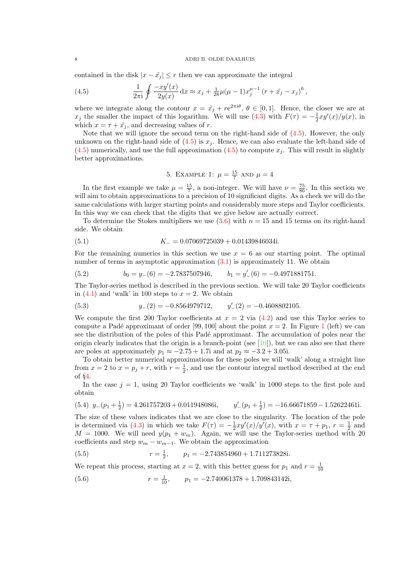#### <span id="page-7-0"></span>8 ADRI B. OLDE DAALHUIS

contained in the disk  $|x - \tilde{x}_i| \leq r$  then we can approximate the integral

(4.5) 
$$
\frac{1}{2\pi i} \oint \frac{-xy'(x)}{2y(x)} dx \approx x_j + \frac{1}{28}\mu(\mu - 1)x_j^{\mu - 1} (r + \tilde{x}_j - x_j)^6,
$$

where we integrate along the contour  $x = \tilde{x}_j + r e^{2\pi i \theta}, \theta \in [0,1]$ . Hence, the closer we are at  $x_j$  the smaller the impact of this logarithm. We will use [\(4.3\)](#page-6-0) with  $F(\tau) = -\frac{1}{2}xy'(x)/y(x)$ , in which  $x = \tau + \tilde{x}_j$ , and decreasing values of r.

Note that we will ignore the second term on the right-hand side of (4.5). However, the only unknown on the right-hand side of  $(4.5)$  is  $x_i$ . Hence, we can also evaluate the left-hand side of  $(4.5)$  numerically, and use the full approximation  $(4.5)$  to compute  $x_i$ . This will result in slightly better approximations.

5. EXAMPLE 1: 
$$
\mu = \frac{15}{7}
$$
 AND  $\mu = 4$ 

In the first example we take  $\mu = \frac{15}{7}$ , a non-integer. We will have  $\nu = \frac{75}{86}$ . In this section we will aim to obtain approximations to a precision of 10 significant digits. As a check we will do the same calculations with larger starting points and considerably more steps and Taylor coefficients. In this way we can check that the digits that we give below are actually correct.

To determine the Stokes multipliers we use  $(3.6)$  with  $n = 15$  and 15 terms on its right-hand side. We obtain

(5.1) 
$$
K_{-} = 0.07069725039 + 0.01439846034i.
$$

For the remaining numerics in this section we use  $x = 6$  as our starting point. The optimal number of terms in asymptotic approximation [\(3.1\)](#page-4-0) is approximately 11. We obtain

(5.2) 
$$
b_0 = y_-(6) = -2.7837507946, \qquad b_1 = y_-'(6) = -0.4971881751.
$$

The Taylor-series method is described in the previous section. We will take 20 Taylor coefficients in  $(4.1)$  and 'walk' in 100 steps to  $x = 2$ . We obtain

(5.3) 
$$
y_{-}(2) = -0.8564979712
$$
,  $y'_{-}(2) = -0.4608802105$ .

We compute the first 200 Taylor coefficients at  $x = 2$  via  $(4.2)$  and use this Taylor series to compute a Padé approximant of order [99, [1](#page-8-0)00] about the point  $x = 2$ . In Figure 1 (left) we can see the distribution of the poles of this Padé approximant. The accumulation of poles near the origin clearly indicates that the origin is a branch-point (see [\[10\]](#page-12-0)), but we can also see that there are poles at approximately  $p_1 \approx -2.75 + 1.7i$  and at  $p_2 \approx -3.2 + 3.05i$ .

To obtain better numerical approximations for these poles we will 'walk' along a straight line from  $x = 2$  to  $x = p_j + r$ , with  $r = \frac{1}{2}$ , and use the contour integral method described at the end of §[4.](#page-6-0)

In the case  $j = 1$ , using 20 Taylor coefficients we 'walk' in 1000 steps to the first pole and obtain

$$
(5.4) \ \ y_{-}(p_1 + \frac{1}{2}) = 4.261757203 + 0.011948086i, \qquad y'_{-}(p_1 + \frac{1}{2}) = -16.66671859 - 1.52622461i.
$$

The size of these values indicates that we are close to the singularity. The location of the pole is determined via [\(4.3\)](#page-6-0) in which we take  $F(\tau) = -\frac{1}{2}xy'(x)/y'(x)$ , with  $x = \tau + p_1$ ,  $r = \frac{1}{2}$  and  $M = 1000$ . We will need  $y(p_1 + w_m)$ . Again, we will use the Taylor-series method with 20 coefficients and step  $w_m - w_{m-1}$ . We obtain the approximation

(5.5) 
$$
r = \frac{1}{2}, \qquad p_1 = -2.743854960 + 1.711273828i.
$$

We repeat this process, starting at  $x = 2$ , with this better guess for  $p_1$  and  $r = \frac{1}{10}$ 

(5.6)  $r = \frac{1}{10}$ ,  $p_1 = -2.740061378 + 1.709843142i$ ,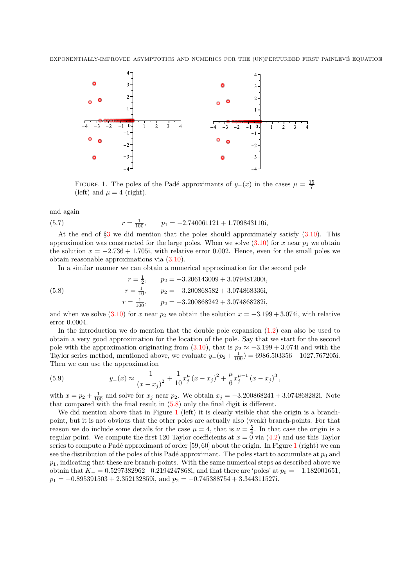<span id="page-8-0"></span>

FIGURE 1. The poles of the Padé approximants of  $y_-(x)$  in the cases  $\mu = \frac{15}{7}$ (left) and  $\mu = 4$  (right).

and again

(5.7) 
$$
r = \frac{1}{100}, \qquad p_1 = -2.740061121 + 1.709843110i,
$$

At the end of  $\S_3$  $\S_3$  we did mention that the poles should approximately satisfy  $(3.10)$ . This approximation was constructed for the large poles. When we solve  $(3.10)$  for x near  $p_1$  we obtain the solution  $x = -2.736 + 1.705i$ , with relative error 0.002. Hence, even for the small poles we obtain reasonable approximations via [\(3.10\)](#page-5-0).

In a similar manner we can obtain a numerical approximation for the second pole

(5.8) 
$$
r = \frac{1}{2}, \qquad p_2 = -3.206143009 + 3.079481200i,
$$

$$
r = \frac{1}{10}, \qquad p_2 = -3.200868582 + 3.074868336i,
$$

$$
r = \frac{1}{100}, \qquad p_2 = -3.200868242 + 3.074868282i,
$$

and when we solve  $(3.10)$  for x near  $p_2$  we obtain the solution  $x = -3.199 + 3.074i$ , with relative error 0.0004.

In the introduction we do mention that the double pole expansion [\(1.2\)](#page-0-0) can also be used to obtain a very good approximation for the location of the pole. Say that we start for the second pole with the approximation originating from  $(3.10)$ , that is  $p_2 \approx -3.199 + 3.074$ i and with the Taylor series method, mentioned above, we evaluate  $y_-(p_2+\frac{1}{100}) = 6986.503356 + 1027.767205i$ . Then we can use the approximation

(5.9) 
$$
y_{-}(x) \approx \frac{1}{(x-x_j)^2} + \frac{1}{10}x_j^{\mu}(x-x_j)^2 + \frac{\mu}{6}x_j^{\mu-1}(x-x_j)^3,
$$

with  $x = p_2 + \frac{1}{100}$  and solve for  $x_j$  near  $p_2$ . We obtain  $x_j = -3.200868241 + 3.074868282i$ . Note that compared with the final result in  $(5.8)$  only the final digit is different.

We did mention above that in Figure 1 (left) it is clearly visible that the origin is a branchpoint, but it is not obvious that the other poles are actually also (weak) branch-points. For that reason we do include some details for the case  $\mu = 4$ , that is  $\nu = \frac{5}{4}$ . In that case the origin is a regular point. We compute the first 120 Taylor coefficients at  $x = 0$  via  $(4.2)$  and use this Taylor series to compute a Padé approximant of order  $[59, 60]$  about the origin. In Figure 1 (right) we can see the distribution of the poles of this Padé approximant. The poles start to accumulate at  $p_0$  and  $p_1$ , indicating that these are branch-points. With the same numerical steps as described above we obtain that  $K_ = 0.5297382962 - 0.2194247868i$ , and that there are 'poles' at  $p_0 = -1.182001651$ ,  $p_1 = -0.895391503 + 2.352132859i$ , and  $p_2 = -0.745388754 + 3.344311527i$ .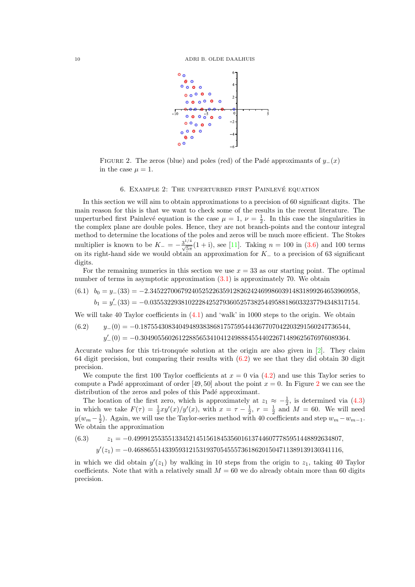<span id="page-9-0"></span>

FIGURE 2. The zeros (blue) and poles (red) of the Padé approximants of  $y_-(x)$ in the case  $\mu = 1$ .

#### 6. EXAMPLE 2: THE UNPERTURBED FIRST PAINLEVÉ EQUATION

In this section we will aim to obtain approximations to a precision of 60 significant digits. The main reason for this is that we want to check some of the results in the recent literature. The unperturbed first Painlevé equation is the case  $\mu = 1, \nu = \frac{1}{2}$ . In this case the singularities in the complex plane are double poles. Hence, they are not branch-points and the contour integral method to determine the locations of the poles and zeros will be much more efficient. The Stokes multiplier is known to be  $K_{-} = -\frac{3^{1/4}}{\sqrt{5\pi}}(1+i)$ , see [\[11\]](#page-12-0). Taking  $n = 100$  in [\(3.6\)](#page-5-0) and 100 terms on its right-hand side we would obtain an approximation for  $K_-\;$  to a precision of 63 significant digits.

For the remaining numerics in this section we use  $x = 33$  as our starting point. The optimal number of terms in asymptotic approximation [\(3.1\)](#page-4-0) is approximately 70. We obtain

$$
(6.1) \quad b_0 = y_-(33) = -2.345227006792405252263591282624246998603914831899264653960958,
$$

 $b_1 = y_-'(33) = -0.035532293810222842527936052573825449588186033237794348317154.$ 

We will take 40 Taylor coefficients in  $(4.1)$  and 'walk' in 1000 steps to the origin. We obtain

$$
(6.2) \qquad y_{-}(0) = -0.187554308340494893838681757595444367707042203291560247736544,
$$
  
\n
$$
y'_{-}(0) = -0.304905560261228856534104124988845544022671489625676976089364.
$$

Accurate values for this tri-tronquée solution at the origin are also given in  $[2]$ . They claim 64 digit precision, but comparing their results with (6.2) we see that they did obtain 30 digit precision.

We compute the first 100 Taylor coefficients at  $x = 0$  via  $(4.2)$  and use this Taylor series to compute a Padé approximant of order [49, 50] about the point  $x = 0$ . In Figure 2 we can see the distribution of the zeros and poles of this Padé approximant.

The location of the first zero, which is approximately at  $z_1 \approx -\frac{1}{2}$ , is determined via [\(4.3\)](#page-6-0) in which we take  $F(\tau) = \frac{1}{2}xy'(x)/y'(x)$ , with  $x = \tau - \frac{1}{2}$ ,  $r = \frac{1}{2}$  and  $M = 60$ . We will need  $y(w_m - \frac{1}{2})$ . Again, we will use the Taylor-series method with 40 coefficients and step  $w_m - w_{m-1}$ . We obtain the approximation

$$
(6.3) \t z_1 = -0.499912553551334521451561845356016137446077785951448892634807,
$$
  
\n
$$
y'(z_1) = -0.468865514339593121531937054555736186201504711389139130341116,
$$

in which we did obtain  $y'(z_1)$  by walking in 10 steps from the origin to  $z_1$ , taking 40 Taylor coefficients. Note that with a relatively small  $M = 60$  we do already obtain more than 60 digits precision.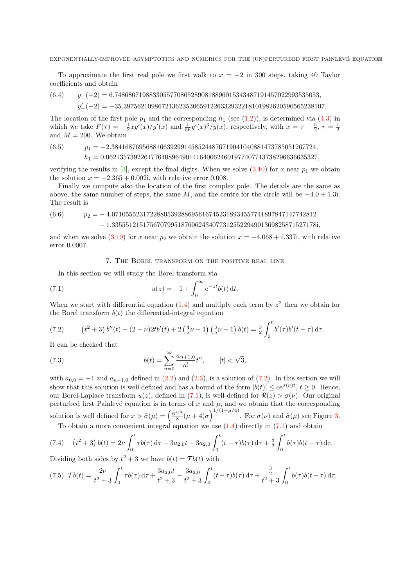<span id="page-10-0"></span>To approximate the first real pole we first walk to  $x = -2$  in 300 steps, taking 40 Taylor coefficients and obtain

$$
(6.4) \qquad y_-(-2) = 6.74868071988330557708652890818896015343487191457022993535053,
$$

 $y'_{-}(-2) = -35.3975621098672136235306591226332932218101982620590565238107.$ 

The location of the first pole  $p_1$  and the corresponding  $h_1$  (see [\(1.2\)](#page-0-0)), is determined via [\(4.3\)](#page-6-0) in which we take  $F(\tau) = -\frac{1}{2}xy'(x)/y'(x)$  and  $\frac{1}{56}y'(x)^3/y(x)$ , respectively, with  $x = \tau - \frac{5}{2}$ ,  $r = \frac{1}{2}$ and  $M = 200$ . We obtain

$$
p_1 = -2.38416876956881663929914585244876719041040881473785051267724,
$$
  
\n
$$
h_1 = 0.0621357392261776408964901416400624601977407713738296636635327,
$$

verifying the results in [\[3\]](#page-12-0), except the final digits. When we solve [\(3.10\)](#page-5-0) for x near  $p_1$  we obtain the solution  $x = -2.365 + 0.002i$ , with relative error 0.008.

Finally we compute also the location of the first complex pole. The details are the same as above, the same number of steps, the same M, and the centre for the circle will be  $-4.0 + 1.3$ i. The result is

$$
(6.6) \qquad p_2 = -4.07105552317228805392886956167452318934557741897847147742812 + 1.33555121517567079951876062434077312552294901369825871527178i,
$$

and when we solve [\(3.10\)](#page-5-0) for x near  $p_2$  we obtain the solution  $x = -4.068 + 1.337i$ , with relative error 0.0007.

7. The Borel transform on the positive real line

In this section we will study the Borel transform via

(7.1) 
$$
u(z) = -1 + \int_0^\infty e^{-zt} b(t) dt.
$$

When we start with differential equation  $(1.4)$  and multiply each term by  $z<sup>2</sup>$  then we obtain for the Borel transform  $b(t)$  the differential-integral equation

(7.2) 
$$
(t^2+3) b''(t) + (2-\nu) 2tb'(t) + 2 \left(\frac{4}{5}\nu - 1\right) \left(\frac{3}{5}\nu - 1\right) b(t) = \frac{3}{2} \int_0^t b'(\tau) b'(t-\tau) d\tau.
$$

It can be checked that

(7.3) 
$$
b(t) = \sum_{n=0}^{\infty} \frac{a_{n+1,0}}{n!} t^n, \qquad |t| < \sqrt{3},
$$

with  $a_{0,0} = -1$  and  $a_{n+1,0}$  defined in [\(2.2\)](#page-2-0) and [\(2.3\)](#page-2-0), is a solution of (7.2). In this section we will show that this solution is well defined and has a bound of the form  $|b(t)| \leq c e^{\sigma(\nu)t}$ ,  $t \geq 0$ . Hence, our Borel-Laplace transform  $u(z)$ , defined in (7.1), is well-defined for  $\Re(z) > \sigma(\nu)$ . Our original perturbed first Painlevé equation is in terms of x and  $\mu$ , and we obtain that the corresponding solution is well defined for  $x > \tilde{\sigma}(\mu) = \left(\frac{6^{1/4}}{8}\right)$  $\frac{1}{8}(\mu+4)\sigma\right)^{1/(1+\mu/4)}$ . For  $\sigma(\nu)$  and  $\tilde{\sigma}(\mu)$  see Figure [3.](#page-11-0) To obtain a more convenient integral equation we use  $(1.4)$  directly in  $(7.1)$  and obtain

$$
(7.4) \quad (t^2+3)\,b(t) = 2\nu\int_0^t \tau b(\tau)\,\mathrm{d}\tau + 3a_{2,0}t - 3a_{2,0}\int_0^t (t-\tau)b(\tau)\,\mathrm{d}\tau + \frac{3}{2}\int_0^t b(\tau)b(t-\tau)\,\mathrm{d}\tau.
$$

Dividing both sides by  $t^2 + 3$  we have  $b(t) = \mathcal{T}b(t)$  with

$$
(7.5) \ \mathcal{T}b(t) = \frac{2\nu}{t^2 + 3} \int_0^t \tau b(\tau) \,d\tau + \frac{3a_{2,0}t}{t^2 + 3} - \frac{3a_{2,0}}{t^2 + 3} \int_0^t (t - \tau) b(\tau) \,d\tau + \frac{\frac{3}{2}}{t^2 + 3} \int_0^t b(\tau) b(t - \tau) \,d\tau.
$$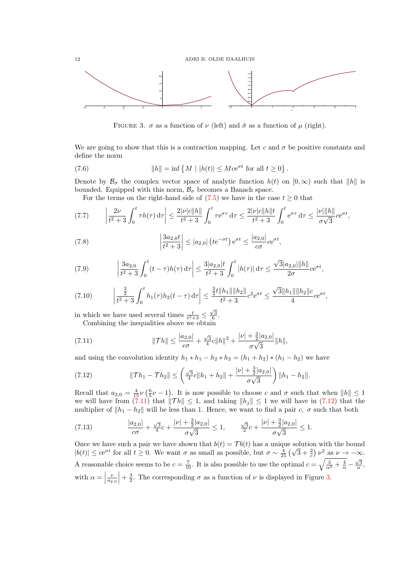<span id="page-11-0"></span>12 ADRI B. OLDE DAALHUIS



FIGURE 3.  $\sigma$  as a function of  $\nu$  (left) and  $\tilde{\sigma}$  as a function of  $\mu$  (right).

We are going to show that this is a contraction mapping. Let c and  $\sigma$  be positive constants and define the norm

(7.6) 
$$
||h|| = \inf \{ M \mid |h(t)| \leq Mce^{\sigma t} \text{ for all } t \geq 0 \}.
$$

Denote by  $\mathcal{B}_{\sigma}$  the complex vector space of analytic function  $h(t)$  on  $[0,\infty)$  such that  $||h||$  is bounded. Equipped with this norm,  $\mathcal{B}_{\sigma}$  becomes a Banach space.

For the terms on the right-hand side of  $(7.5)$  we have in the case  $t \geq 0$  that

$$
(7.7) \qquad \left| \frac{2\nu}{t^2 + 3} \int_0^t \tau h(\tau) \, \mathrm{d}\tau \right| \le \frac{2|\nu|c||h||}{t^2 + 3} \int_0^t \tau e^{\sigma \tau} \, \mathrm{d}\tau \le \frac{2|\nu|c||h||t}{t^2 + 3} \int_0^t e^{\sigma \tau} \, \mathrm{d}\tau \le \frac{|\nu||h||}{\sigma\sqrt{3}} c e^{\sigma t},
$$

(7.8) 
$$
\left|\frac{3a_{2,0}t}{t^2+3}\right| \le |a_{2,0}| \left( t e^{-\sigma t} \right) e^{\sigma t} \le \frac{|a_{2,0}|}{c\sigma} e^{\sigma t},
$$

(7.9) 
$$
\left|\frac{3a_{2,0}}{t^2+3}\int_0^t (t-\tau)h(\tau)\,d\tau\right| \leq \frac{3|a_{2,0}|t}{t^2+3}\int_0^t |h(\tau)|\,d\tau \leq \frac{\sqrt{3}|a_{2,0}|\|h\|}{2\sigma}\cos t,
$$

$$
(7.10) \qquad \left|\frac{\frac{3}{2}}{t^2+3}\int_0^t h_1(\tau)h_2(t-\tau)\,\mathrm{d}\tau\right| \le \frac{\frac{3}{2}t\|h_1\|\|h_2\|}{t^2+3}c^2\mathrm{e}^{\sigma t} \le \frac{\sqrt{3}\|h_1\|\|h_2\|c}{4}c\mathrm{e}^{\sigma t},
$$

in which we have used several times  $\frac{t}{t^2+3} \leq \frac{\sqrt{3}}{6}$ .

Combining the inequalities above we obtain

(7.11) 
$$
\|\mathcal{T}h\| \le \frac{|a_{2,0}|}{c\sigma} + \frac{\sqrt{3}}{4}c\|h\|^2 + \frac{|\nu| + \frac{3}{2}|a_{2,0}|}{\sigma\sqrt{3}}\|h\|,
$$

and using the convolution identity  $h_1 * h_1 - h_2 * h_2 = (h_1 + h_2) * (h_1 - h_2)$  we have

(7.12) 
$$
\|\mathcal{T}h_1 - \mathcal{T}h_2\| \le \left(\frac{\sqrt{3}}{4}c\|h_1 + h_2\| + \frac{|\nu| + \frac{3}{2}|a_{2,0}|}{\sigma\sqrt{3}}\right) \|h_1 - h_2\|.
$$

Recall that  $a_{2,0} = \frac{4}{15}\nu \left(\frac{6}{5}\nu - 1\right)$ . It is now possible to choose c and  $\sigma$  such that when  $||h|| \leq 1$ we will have from (7.11) that  $\|\mathcal{T} h\| \leq 1$ , and taking  $\|h_j\| \leq 1$  we will have in (7.12) that the multiplier of  $||h_1 - h_2||$  will be less than 1. Hence, we want to find a pair c,  $\sigma$  such that both

(7.13) 
$$
\frac{|a_{2,0}|}{c\sigma} + \frac{\sqrt{3}}{4}c + \frac{|\nu| + \frac{3}{2}|a_{2,0}|}{\sigma\sqrt{3}} \le 1, \qquad \frac{\sqrt{3}}{2}c + \frac{|\nu| + \frac{3}{2}|a_{2,0}|}{\sigma\sqrt{3}} \le 1.
$$

Once we have such a pair we have shown that  $b(t) = \mathcal{T}b(t)$  has a unique solution with the bound Once we have such a pair we have shown that  $v(t) = T v(t)$  has a unique solution with the bound  $|b(t)| \leq ce^{\sigma t}$  for all  $t \geq 0$ . We want  $\sigma$  as small as possible, but  $\sigma \sim \frac{4}{25} \left(\sqrt{3} + \frac{2}{c}\right) \nu^2$  as  $\nu \to -\infty$ . A reasonable choice seems to be  $c = \frac{7}{10}$ . It is also possible to use the optimal  $c = \sqrt{\frac{3}{\alpha^2} + \frac{4}{\alpha}} - \frac{\sqrt{3}}{\alpha}$ , with  $\alpha =$  $\left. \frac{\nu}{a_{2,0}} \right| + \frac{3}{2}$ . The corresponding  $\sigma$  as a function of  $\nu$  is displayed in Figure 3.